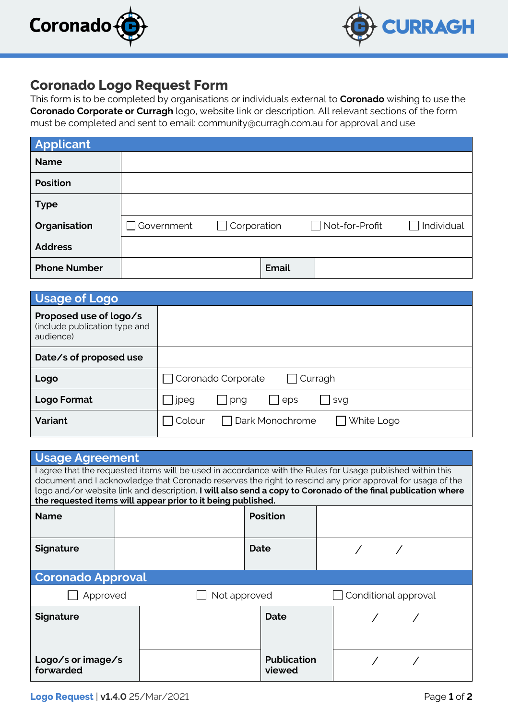



## **Coronado Logo Request Form**

This form is to be completed by organisations or individuals external to **Coronado** wishing to use the **Coronado Corporate or Curragh** logo, website link or description. All relevant sections of the form must be completed and sent to email: community@curragh.com.au for approval and use

| Applicant           |            |                    |              |                       |            |
|---------------------|------------|--------------------|--------------|-----------------------|------------|
| <b>Name</b>         |            |                    |              |                       |            |
| <b>Position</b>     |            |                    |              |                       |            |
| <b>Type</b>         |            |                    |              |                       |            |
| Organisation        | Government | $\Box$ Corporation |              | $\Box$ Not-for-Profit | Individual |
| <b>Address</b>      |            |                    |              |                       |            |
| <b>Phone Number</b> |            |                    | <b>Email</b> |                       |            |

| Usage of Logo                                                        |                                           |  |  |  |  |  |
|----------------------------------------------------------------------|-------------------------------------------|--|--|--|--|--|
| Proposed use of logo/s<br>(include publication type and<br>audience) |                                           |  |  |  |  |  |
| Date/s of proposed use                                               |                                           |  |  |  |  |  |
| Logo                                                                 | Coronado Corporate<br>Curragh             |  |  |  |  |  |
| Logo Format                                                          | jpeg<br>png<br>eps<br>svg                 |  |  |  |  |  |
| <b>Variant</b>                                                       | □ Dark Monochrome<br>White Logo<br>Colour |  |  |  |  |  |

| <b>Usage Agreement</b>                                                                                                                                                                                                                                                                                                                                                                                   |  |  |                              |  |                      |  |  |  |  |  |
|----------------------------------------------------------------------------------------------------------------------------------------------------------------------------------------------------------------------------------------------------------------------------------------------------------------------------------------------------------------------------------------------------------|--|--|------------------------------|--|----------------------|--|--|--|--|--|
| I agree that the requested items will be used in accordance with the Rules for Usage published within this<br>document and I acknowledge that Coronado reserves the right to rescind any prior approval for usage of the<br>logo and/or website link and description. I will also send a copy to Coronado of the final publication where<br>the requested items will appear prior to it being published. |  |  |                              |  |                      |  |  |  |  |  |
| <b>Name</b>                                                                                                                                                                                                                                                                                                                                                                                              |  |  | <b>Position</b>              |  |                      |  |  |  |  |  |
| <b>Signature</b>                                                                                                                                                                                                                                                                                                                                                                                         |  |  | Date                         |  |                      |  |  |  |  |  |
| <b>Coronado Approval</b>                                                                                                                                                                                                                                                                                                                                                                                 |  |  |                              |  |                      |  |  |  |  |  |
| Approved                                                                                                                                                                                                                                                                                                                                                                                                 |  |  | Not approved                 |  | Conditional approval |  |  |  |  |  |
| <b>Signature</b>                                                                                                                                                                                                                                                                                                                                                                                         |  |  | Date                         |  |                      |  |  |  |  |  |
| Logo/s or image/s<br>forwarded                                                                                                                                                                                                                                                                                                                                                                           |  |  | <b>Publication</b><br>viewed |  |                      |  |  |  |  |  |